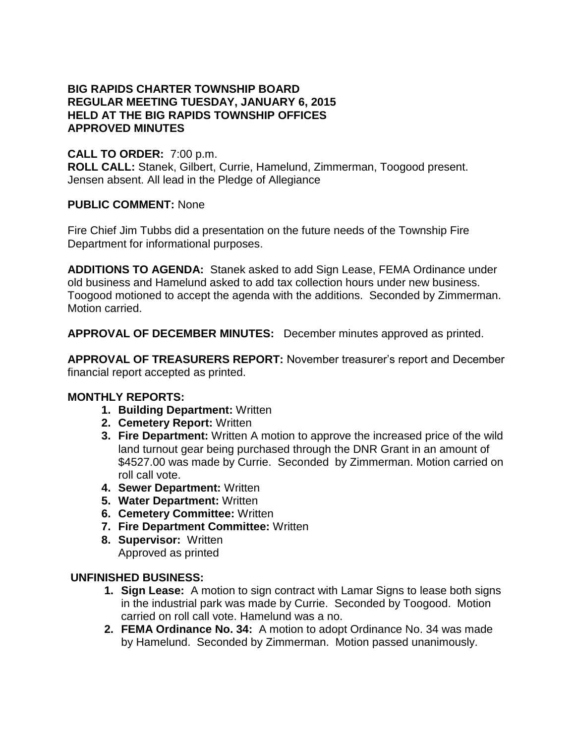## **BIG RAPIDS CHARTER TOWNSHIP BOARD REGULAR MEETING TUESDAY, JANUARY 6, 2015 HELD AT THE BIG RAPIDS TOWNSHIP OFFICES APPROVED MINUTES**

# **CALL TO ORDER:** 7:00 p.m.

**ROLL CALL:** Stanek, Gilbert, Currie, Hamelund, Zimmerman, Toogood present. Jensen absent. All lead in the Pledge of Allegiance

### **PUBLIC COMMENT:** None

Fire Chief Jim Tubbs did a presentation on the future needs of the Township Fire Department for informational purposes.

**ADDITIONS TO AGENDA:** Stanek asked to add Sign Lease, FEMA Ordinance under old business and Hamelund asked to add tax collection hours under new business. Toogood motioned to accept the agenda with the additions. Seconded by Zimmerman. Motion carried.

**APPROVAL OF DECEMBER MINUTES:** December minutes approved as printed.

**APPROVAL OF TREASURERS REPORT:** November treasurer's report and December financial report accepted as printed.

### **MONTHLY REPORTS:**

- **1. Building Department:** Written
- **2. Cemetery Report:** Written
- **3. Fire Department:** Written A motion to approve the increased price of the wild land turnout gear being purchased through the DNR Grant in an amount of \$4527.00 was made by Currie. Seconded by Zimmerman. Motion carried on roll call vote.
- **4. Sewer Department:** Written
- **5. Water Department:** Written
- **6. Cemetery Committee:** Written
- **7. Fire Department Committee:** Written
- **8. Supervisor:** Written Approved as printed

### **UNFINISHED BUSINESS:**

- **1. Sign Lease:** A motion to sign contract with Lamar Signs to lease both signs in the industrial park was made by Currie. Seconded by Toogood. Motion carried on roll call vote. Hamelund was a no.
- **2. FEMA Ordinance No. 34:** A motion to adopt Ordinance No. 34 was made by Hamelund. Seconded by Zimmerman. Motion passed unanimously.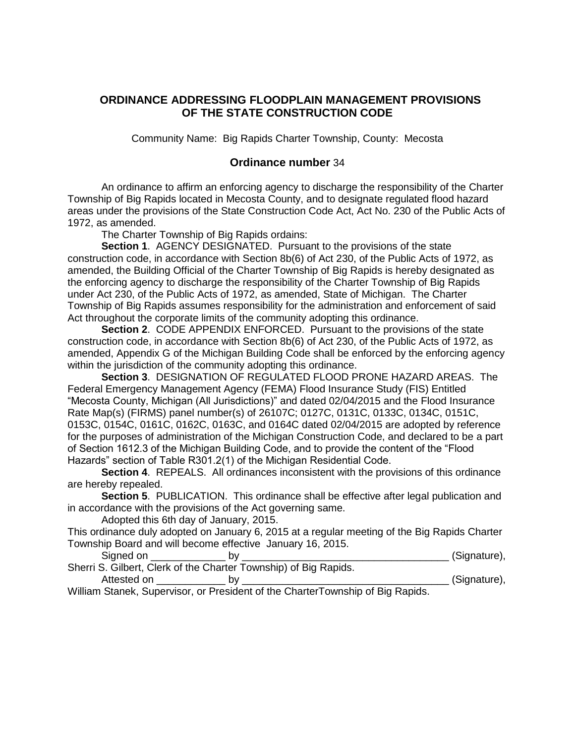#### **ORDINANCE ADDRESSING FLOODPLAIN MANAGEMENT PROVISIONS OF THE STATE CONSTRUCTION CODE**

Community Name: Big Rapids Charter Township, County: Mecosta

#### **Ordinance number** 34

An ordinance to affirm an enforcing agency to discharge the responsibility of the Charter Township of Big Rapids located in Mecosta County, and to designate regulated flood hazard areas under the provisions of the State Construction Code Act, Act No. 230 of the Public Acts of 1972, as amended.

The Charter Township of Big Rapids ordains:

**Section 1**. AGENCY DESIGNATED. Pursuant to the provisions of the state construction code, in accordance with Section 8b(6) of Act 230, of the Public Acts of 1972, as amended, the Building Official of the Charter Township of Big Rapids is hereby designated as the enforcing agency to discharge the responsibility of the Charter Township of Big Rapids under Act 230, of the Public Acts of 1972, as amended, State of Michigan. The Charter Township of Big Rapids assumes responsibility for the administration and enforcement of said Act throughout the corporate limits of the community adopting this ordinance.

**Section 2**. CODE APPENDIX ENFORCED. Pursuant to the provisions of the state construction code, in accordance with Section 8b(6) of Act 230, of the Public Acts of 1972, as amended, Appendix G of the Michigan Building Code shall be enforced by the enforcing agency within the jurisdiction of the community adopting this ordinance.

**Section 3**. DESIGNATION OF REGULATED FLOOD PRONE HAZARD AREAS. The Federal Emergency Management Agency (FEMA) Flood Insurance Study (FIS) Entitled "Mecosta County, Michigan (All Jurisdictions)" and dated 02/04/2015 and the Flood Insurance Rate Map(s) (FIRMS) panel number(s) of 26107C; 0127C, 0131C, 0133C, 0134C, 0151C, 0153C, 0154C, 0161C, 0162C, 0163C, and 0164C dated 02/04/2015 are adopted by reference for the purposes of administration of the Michigan Construction Code, and declared to be a part of Section 1612.3 of the Michigan Building Code, and to provide the content of the "Flood Hazards" section of Table R301.2(1) of the Michigan Residential Code.

**Section 4**. REPEALS. All ordinances inconsistent with the provisions of this ordinance are hereby repealed.

**Section 5**. PUBLICATION. This ordinance shall be effective after legal publication and in accordance with the provisions of the Act governing same.

Adopted this 6th day of January, 2015.

This ordinance duly adopted on January 6, 2015 at a regular meeting of the Big Rapids Charter Township Board and will become effective January 16, 2015.

| Signed on   | h۷                                                               | (Signature), |
|-------------|------------------------------------------------------------------|--------------|
|             | Sherri S. Gilbert, Clerk of the Charter Township) of Big Rapids. |              |
| Attested on | h۷                                                               | (Signature), |

William Stanek, Supervisor, or President of the CharterTownship of Big Rapids.